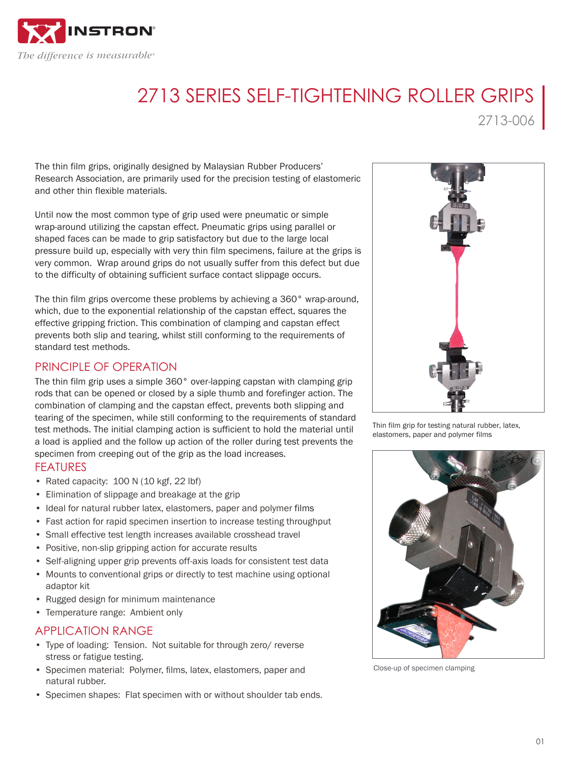

# 2713 SERIES SELF-TIGHTENING ROLLER GRIPS

2713-006

The thin film grips, originally designed by Malaysian Rubber Producers' Research Association, are primarily used for the precision testing of elastomeric and other thin flexible materials.

Until now the most common type of grip used were pneumatic or simple wrap-around utilizing the capstan effect. Pneumatic grips using parallel or shaped faces can be made to grip satisfactory but due to the large local pressure build up, especially with very thin film specimens, failure at the grips is very common. Wrap around grips do not usually suffer from this defect but due to the difficulty of obtaining sufficient surface contact slippage occurs.

The thin film grips overcome these problems by achieving a 360° wrap-around, which, due to the exponential relationship of the capstan effect, squares the effective gripping friction. This combination of clamping and capstan effect prevents both slip and tearing, whilst still conforming to the requirements of standard test methods.

## PRINCIPLE OF OPERATION

The thin film grip uses a simple 360° over-lapping capstan with clamping grip rods that can be opened or closed by a siple thumb and forefinger action. The combination of clamping and the capstan effect, prevents both slipping and tearing of the specimen, while still conforming to the requirements of standard test methods. The initial clamping action is sufficient to hold the material until a load is applied and the follow up action of the roller during test prevents the specimen from creeping out of the grip as the load increases.

### FEATURES

- Rated capacity: 100 N (10 kgf, 22 lbf)
- Elimination of slippage and breakage at the grip
- Ideal for natural rubber latex, elastomers, paper and polymer films
- Fast action for rapid specimen insertion to increase testing throughput
- Small effective test length increases available crosshead travel
- Positive, non-slip gripping action for accurate results
- Self-aligning upper grip prevents off-axis loads for consistent test data
- Mounts to conventional grips or directly to test machine using optional adaptor kit
- Rugged design for minimum maintenance
- Temperature range: Ambient only

## APPLICATION RANGE

- Type of loading: Tension. Not suitable for through zero/ reverse stress or fatigue testing.
- Specimen material: Polymer, films, latex, elastomers, paper and natural rubber.
- Specimen shapes: Flat specimen with or without shoulder tab ends.



Thin film grip for testing natural rubber, latex, elastomers, paper and polymer films



Close-up of specimen clamping